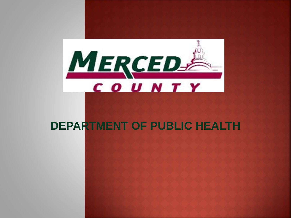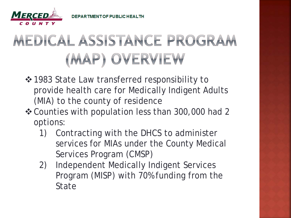

# MEDICAL ASSISTANCE PROGRAM (MAP) OVERVIEW

- $\triangle$  **1983 State Law transferred responsibility to** provide health care for Medically Indigent Adults (MIA) to the county of residence
- Counties with population less than 300,000 had 2 options:
	- 1) Contracting with the DHCS to administer services for MIAs under the County Medical Services Program (CMSP)
	- 2) Independent Medically Indigent Services Program (MISP) with 70% funding from the State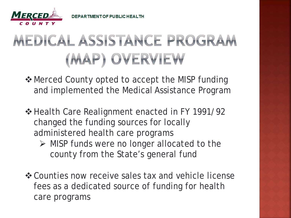

## MEDICAL ASSISTANCE PROGRAM (MAP) OVERVIEW

 $\triangle$  Merced County opted to accept the MISP funding and implemented the Medical Assistance Program

- ❖ Health Care Realignment enacted in FY 1991/92 changed the funding sources for locally administered health care programs
	- $\triangleright$  MISP funds were no longer allocated to the county from the State's general fund
- Counties now receive sales tax and vehicle license fees as a dedicated source of funding for health care programs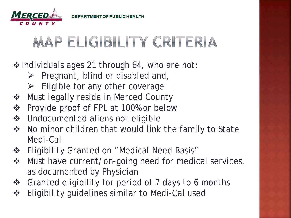

#### MAP ELIGIBILITY CRITERIA

❖ Individuals ages 21 through 64, who are not:

- $\triangleright$  Pregnant, blind or disabled and,
- $\triangleright$  Eligible for any other coverage
- ❖ Must legally reside in Merced County
- Provide proof of FPL at 100% or below
- ❖ Undocumented aliens not eligible
- ◆ No minor children that would link the family to State Medi-Cal
- ❖ Eligibility Granted on "Medical Need Basis"
- ❖ Must have current/on-going need for medical services, as documented by Physician
- ❖ Granted eligibility for period of 7 days to 6 months
- **\*** Eligibility guidelines similar to Medi-Cal used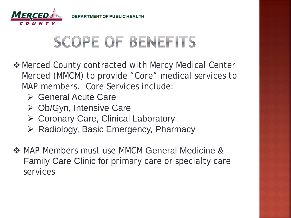

#### **SCOPE OF BENEFITS**

- $\triangle$  **Merced County contracted with Mercy Medical Center** Merced (MMCM) to provide "Core" medical services to MAP members. Core Services include:
	- **► General Acute Care**
	- Ob/Gyn, Intensive Care
	- ▶ Coronary Care, Clinical Laboratory
	- $\triangleright$  Radiology, Basic Emergency, Pharmacy
- ◆ MAP Members must use MMCM General Medicine & Family Care Clinic for primary care or specialty care services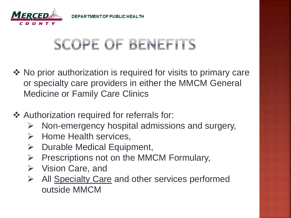

## **SCOPE OF BENEFITS**

- ◆ No prior authorization is required for visits to primary care or specialty care providers in either the MMCM General Medicine or Family Care Clinics
- ❖ Authorization required for referrals for:
	- $\triangleright$  Non-emergency hospital admissions and surgery,
	- $\triangleright$  Home Health services,
	- $\triangleright$  Durable Medical Equipment,
	- $\triangleright$  Prescriptions not on the MMCM Formulary,
	- $\triangleright$  Vision Care, and
	- $\triangleright$  All Specialty Care and other services performed outside MMCM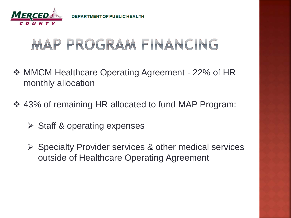

### MAP PROGRAM FINANCING

- **❖ MMCM Healthcare Operating Agreement 22% of HR** monthly allocation
- 43% of remaining HR allocated to fund MAP Program:
	- $\triangleright$  Staff & operating expenses
	- $\triangleright$  Specialty Provider services & other medical services outside of Healthcare Operating Agreement